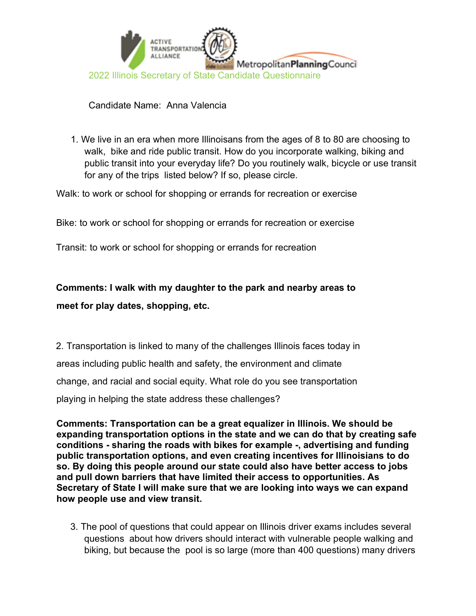

## Candidate Name: Anna Valencia

1. We live in an era when more Illinoisans from the ages of 8 to 80 are choosing to walk, bike and ride public transit. How do you incorporate walking, biking and public transit into your everyday life? Do you routinely walk, bicycle or use transit for any of the trips listed below? If so, please circle.

Walk: to work or school for shopping or errands for recreation or exercise

Bike: to work or school for shopping or errands for recreation or exercise

Transit: to work or school for shopping or errands for recreation

## Comments: I walk with my daughter to the park and nearby areas to meet for play dates, shopping, etc.

2. Transportation is linked to many of the challenges Illinois faces today in areas including public health and safety, the environment and climate change, and racial and social equity. What role do you see transportation playing in helping the state address these challenges?

Comments: Transportation can be a great equalizer in Illinois. We should be expanding transportation options in the state and we can do that by creating safe conditions - sharing the roads with bikes for example -, advertising and funding public transportation options, and even creating incentives for Illinoisians to do so. By doing this people around our state could also have better access to jobs and pull down barriers that have limited their access to opportunities. As Secretary of State I will make sure that we are looking into ways we can expand how people use and view transit.

3. The pool of questions that could appear on Illinois driver exams includes several questions about how drivers should interact with vulnerable people walking and biking, but because the pool is so large (more than 400 questions) many drivers